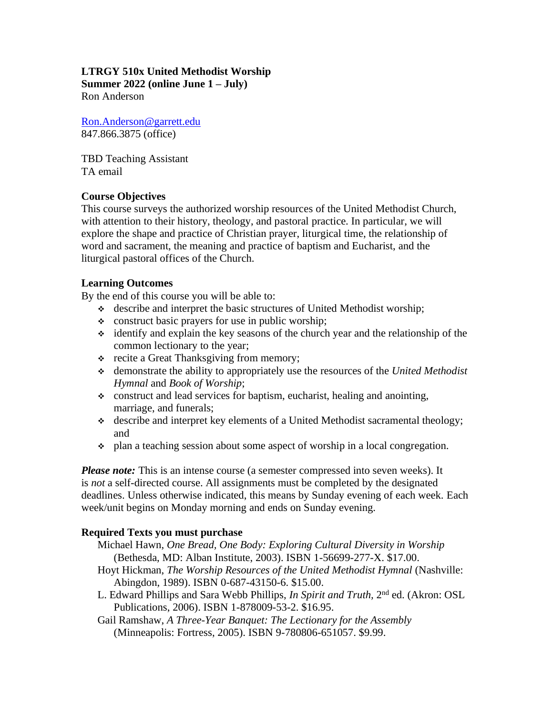#### **LTRGY 510x United Methodist Worship Summer 2022 (online June 1 – July)**

Ron Anderson

[Ron.Anderson@garrett.edu](mailto:Ron.Anderson@garrett.edu) 847.866.3875 (office)

TBD Teaching Assistant TA email

# **Course Objectives**

This course surveys the authorized worship resources of the United Methodist Church, with attention to their history, theology, and pastoral practice. In particular, we will explore the shape and practice of Christian prayer, liturgical time, the relationship of word and sacrament, the meaning and practice of baptism and Eucharist, and the liturgical pastoral offices of the Church.

# **Learning Outcomes**

By the end of this course you will be able to:

- ❖ describe and interpret the basic structures of United Methodist worship;
- ❖ construct basic prayers for use in public worship;
- ❖ identify and explain the key seasons of the church year and the relationship of the common lectionary to the year;
- ❖ recite a Great Thanksgiving from memory;
- ❖ demonstrate the ability to appropriately use the resources of the *United Methodist Hymnal* and *Book of Worship*;
- ❖ construct and lead services for baptism, eucharist, healing and anointing, marriage, and funerals;
- ❖ describe and interpret key elements of a United Methodist sacramental theology; and
- ❖ plan a teaching session about some aspect of worship in a local congregation.

*Please note:* This is an intense course (a semester compressed into seven weeks). It is *not* a self-directed course. All assignments must be completed by the designated deadlines. Unless otherwise indicated, this means by Sunday evening of each week. Each week/unit begins on Monday morning and ends on Sunday evening*.*

# **Required Texts you must purchase**

- Michael Hawn, *One Bread, One Body: Exploring Cultural Diversity in Worship* (Bethesda, MD: Alban Institute, 2003). ISBN 1-56699-277-X. \$17.00.
- Hoyt Hickman, *The Worship Resources of the United Methodist Hymnal* (Nashville: Abingdon, 1989). ISBN 0-687-43150-6. \$15.00.
- L. Edward Phillips and Sara Webb Phillips, *In Spirit and Truth*, 2<sup>nd</sup> ed. (Akron: OSL Publications, 2006). ISBN 1-878009-53-2. \$16.95.
- Gail Ramshaw, *A Three-Year Banquet: The Lectionary for the Assembly* (Minneapolis: Fortress, 2005). ISBN 9-780806-651057. \$9.99.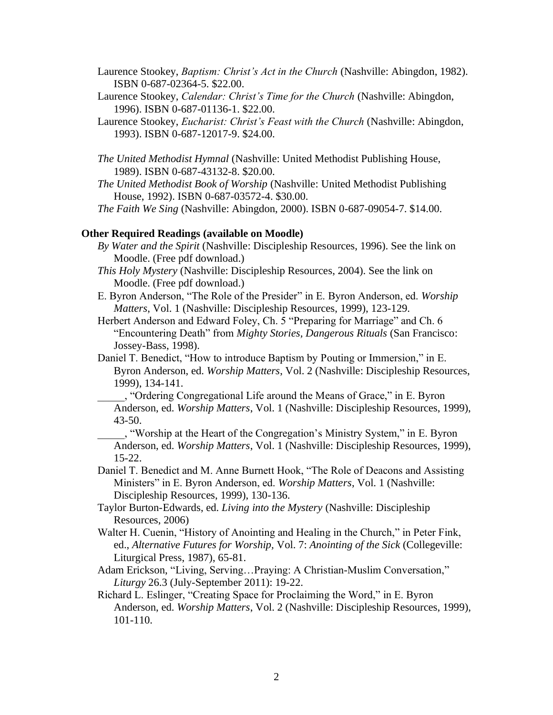Laurence Stookey, *Baptism: Christ's Act in the Church* (Nashville: Abingdon, 1982). ISBN 0-687-02364-5. \$22.00.

- Laurence Stookey, *Calendar: Christ's Time for the Church* (Nashville: Abingdon, 1996). ISBN 0-687-01136-1. \$22.00.
- Laurence Stookey, *Eucharist: Christ's Feast with the Church* (Nashville: Abingdon, 1993). ISBN 0-687-12017-9. \$24.00.
- *The United Methodist Hymnal* (Nashville: United Methodist Publishing House, 1989). ISBN 0-687-43132-8. \$20.00.
- *The United Methodist Book of Worship* (Nashville: United Methodist Publishing House, 1992). ISBN 0-687-03572-4. \$30.00.

*The Faith We Sing* (Nashville: Abingdon, 2000). ISBN 0-687-09054-7. \$14.00.

#### **Other Required Readings (available on Moodle)**

- *By Water and the Spirit* (Nashville: Discipleship Resources, 1996). See [the link](http://www.gbod.org/worship/articles/water_spirit) on Moodle. (Free pdf download.)
- *This Holy Mystery* (Nashville: Discipleship Resources, 2004). See the link on Moodle. (Free pdf download.)
- E. Byron Anderson, "The Role of the Presider" in E. Byron Anderson, ed. *Worship Matters*, Vol. 1 (Nashville: Discipleship Resources, 1999), 123-129.
- Herbert Anderson and Edward Foley, Ch. 5 "Preparing for Marriage" and Ch. 6 "Encountering Death" from *Mighty Stories, Dangerous Rituals* (San Francisco: Jossey-Bass, 1998).
- Daniel T. Benedict, "How to introduce Baptism by Pouting or Immersion," in E. Byron Anderson, ed. *Worship Matters*, Vol. 2 (Nashville: Discipleship Resources, 1999), 134-141.

\_\_\_\_\_, "Ordering Congregational Life around the Means of Grace," in E. Byron Anderson, ed. *Worship Matters*, Vol. 1 (Nashville: Discipleship Resources, 1999), 43-50.

\_\_\_\_\_, "Worship at the Heart of the Congregation's Ministry System," in E. Byron Anderson, ed. *Worship Matters*, Vol. 1 (Nashville: Discipleship Resources, 1999), 15-22.

Daniel T. Benedict and M. Anne Burnett Hook, "The Role of Deacons and Assisting Ministers" in E. Byron Anderson, ed. *Worship Matters*, Vol. 1 (Nashville: Discipleship Resources, 1999), 130-136.

- Taylor Burton-Edwards, ed. *Living into the Mystery* (Nashville: Discipleship Resources, 2006)
- Walter H. Cuenin, "History of Anointing and Healing in the Church," in Peter Fink, ed., *Alternative Futures for Worship,* Vol. 7: *Anointing of the Sick* (Collegeville: Liturgical Press, 1987), 65-81.

Adam Erickson, "Living, Serving…Praying: A Christian-Muslim Conversation," *Liturgy* 26.3 (July-September 2011): 19-22.

Richard L. Eslinger, "Creating Space for Proclaiming the Word," in E. Byron Anderson, ed. *Worship Matters*, Vol. 2 (Nashville: Discipleship Resources, 1999), 101-110.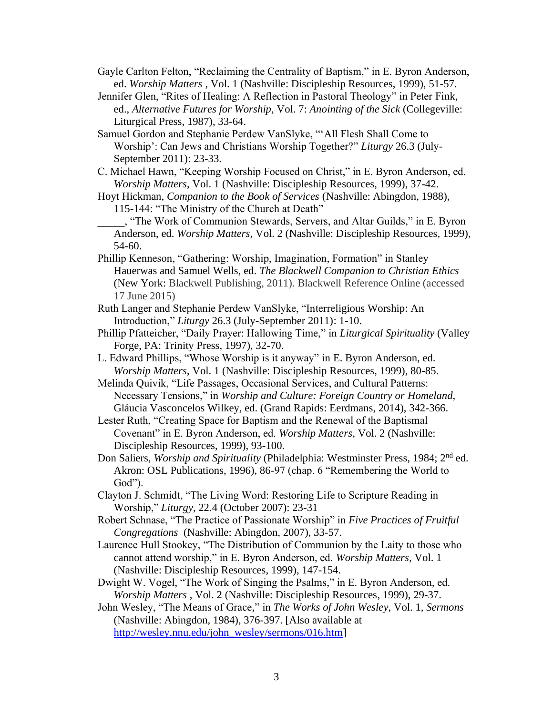- Gayle Carlton Felton, "Reclaiming the Centrality of Baptism," in E. Byron Anderson, ed. *Worship Matters* , Vol. 1 (Nashville: Discipleship Resources, 1999), 51-57.
- Jennifer Glen, "Rites of Healing: A Reflection in Pastoral Theology" in Peter Fink, ed., *Alternative Futures for Worship,* Vol. 7: *Anointing of the Sick* (Collegeville: Liturgical Press, 1987), 33-64.
- Samuel Gordon and Stephanie Perdew VanSlyke, "'All Flesh Shall Come to Worship': Can Jews and Christians Worship Together?" *Liturgy* 26.3 (July-September 2011): 23-33.
- C. Michael Hawn, "Keeping Worship Focused on Christ," in E. Byron Anderson, ed. *Worship Matters*, Vol. 1 (Nashville: Discipleship Resources, 1999), 37-42.
- Hoyt Hickman, *Companion to the Book of Services* (Nashville: Abingdon, 1988), 115-144: "The Ministry of the Church at Death"
- \_\_\_\_\_, "The Work of Communion Stewards, Servers, and Altar Guilds," in E. Byron Anderson, ed. *Worship Matters*, Vol. 2 (Nashville: Discipleship Resources, 1999), 54-60.
- Phillip Kenneson, "Gathering: Worship, Imagination, Formation" in Stanley Hauerwas and Samuel Wells, ed. *The Blackwell Companion to Christian Ethics* (New York: Blackwell Publishing, 2011). Blackwell Reference Online (accessed 17 June 2015)
- Ruth Langer and Stephanie Perdew VanSlyke, "Interreligious Worship: An Introduction," *Liturgy* 26.3 (July-September 2011): 1-10.
- Phillip Pfatteicher, "Daily Prayer: Hallowing Time," in *Liturgical Spirituality* (Valley Forge, PA: Trinity Press, 1997), 32-70.
- L. Edward Phillips, "Whose Worship is it anyway" in E. Byron Anderson, ed. *Worship Matters*, Vol. 1 (Nashville: Discipleship Resources, 1999), 80-85.
- Melinda Quivik, "Life Passages, Occasional Services, and Cultural Patterns: Necessary Tensions," in *Worship and Culture: Foreign Country or Homeland*, Gláucia Vasconcelos Wilkey, ed. (Grand Rapids: Eerdmans, 2014), 342-366.
- Lester Ruth, "Creating Space for Baptism and the Renewal of the Baptismal Covenant" in E. Byron Anderson, ed. *Worship Matters*, Vol. 2 (Nashville: Discipleship Resources, 1999), 93-100.
- Don Saliers, *Worship and Spirituality* (Philadelphia: Westminster Press, 1984; 2nd ed. Akron: OSL Publications, 1996), 86-97 (chap. 6 "Remembering the World to God").
- Clayton J. Schmidt, "The Living Word: Restoring Life to Scripture Reading in Worship," *Liturgy*, 22.4 (October 2007): 23-31
- Robert Schnase, "The Practice of Passionate Worship" in *Five Practices of Fruitful Congregations* (Nashville: Abingdon, 2007), 33-57.
- Laurence Hull Stookey, "The Distribution of Communion by the Laity to those who cannot attend worship," in E. Byron Anderson, ed. *Worship Matters*, Vol. 1 (Nashville: Discipleship Resources, 1999), 147-154.
- Dwight W. Vogel, "The Work of Singing the Psalms," in E. Byron Anderson, ed. *Worship Matters* , Vol. 2 (Nashville: Discipleship Resources, 1999), 29-37.
- John Wesley, "The Means of Grace," in *The Works of John Wesley*, Vol. 1, *Sermons* (Nashville: Abingdon, 1984), 376-397. [Also available at [http://wesley.nnu.edu/john\\_wesley/sermons/016.htm\]](http://wesley.nnu.edu/john_wesley/sermons/016.htm)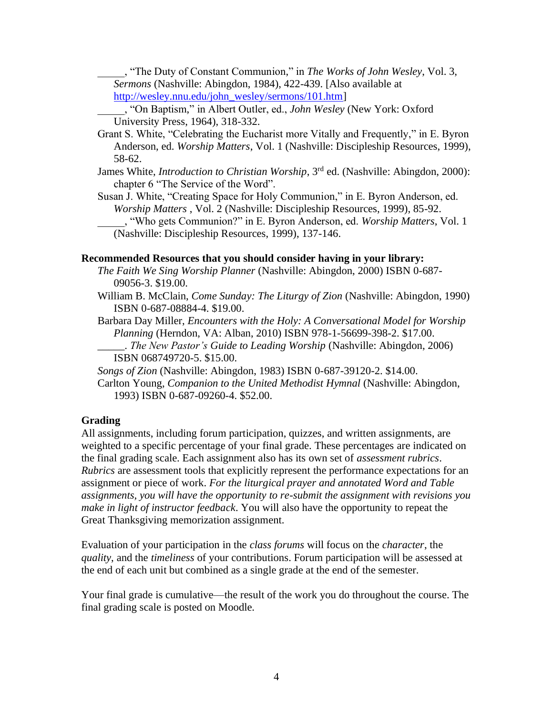\_\_\_\_\_, "The Duty of Constant Communion," in *The Works of John Wesley*, Vol. 3, *Sermons* (Nashville: Abingdon, 1984), 422-439. [Also available at [http://wesley.nnu.edu/john\\_wesley/sermons/101.htm\]](http://wesley.nnu.edu/john_wesley/sermons/101.htm)

\_\_\_\_\_, "On Baptism," in Albert Outler, ed., *John Wesley* (New York: Oxford University Press, 1964), 318-332.

- Grant S. White, "Celebrating the Eucharist more Vitally and Frequently," in E. Byron Anderson, ed. *Worship Matters*, Vol. 1 (Nashville: Discipleship Resources, 1999), 58-62.
- James White, *Introduction to Christian Worship*, 3rd ed. (Nashville: Abingdon, 2000): chapter 6 "The Service of the Word".

Susan J. White, "Creating Space for Holy Communion," in E. Byron Anderson, ed. *Worship Matters* , Vol. 2 (Nashville: Discipleship Resources, 1999), 85-92. \_\_\_\_\_, "Who gets Communion?" in E. Byron Anderson, ed. *Worship Matters*, Vol. 1 (Nashville: Discipleship Resources, 1999), 137-146.

#### **Recommended Resources that you should consider having in your library:**

- *The Faith We Sing Worship Planner* (Nashville: Abingdon, 2000) ISBN 0-687- 09056-3. \$19.00.
- William B. McClain, *Come Sunday: The Liturgy of Zion* (Nashville: Abingdon, 1990) ISBN 0-687-08884-4. \$19.00.
- Barbara Day Miller, *Encounters with the Holy: A Conversational Model for Worship Planning* (Herndon, VA: Alban, 2010) ISBN 978-1-56699-398-2. \$17.00.
	- \_\_\_\_\_. *The New Pastor's Guide to Leading Worship* (Nashville: Abingdon, 2006) ISBN 068749720-5. \$15.00.
- *Songs of Zion* (Nashville: Abingdon, 1983) ISBN 0-687-39120-2. \$14.00.
- Carlton Young, *Companion to the United Methodist Hymnal* (Nashville: Abingdon, 1993) ISBN 0-687-09260-4. \$52.00.

## **Grading**

All assignments, including forum participation, quizzes, and written assignments, are weighted to a specific percentage of your final grade. These percentages are indicated on the final grading scale. Each assignment also has its own set of *assessment rubrics*. *Rubrics* are assessment tools that explicitly represent the performance expectations for an assignment or piece of work. *For the liturgical prayer and annotated Word and Table assignments, you will have the opportunity to re-submit the assignment with revisions you make in light of instructor feedback*. You will also have the opportunity to repeat the Great Thanksgiving memorization assignment.

Evaluation of your participation in the *class forums* will focus on the *character*, the *quality*, and the *timeliness* of your contributions. Forum participation will be assessed at the end of each unit but combined as a single grade at the end of the semester.

Your final grade is cumulative—the result of the work you do throughout the course. The final grading scale is posted on Moodle.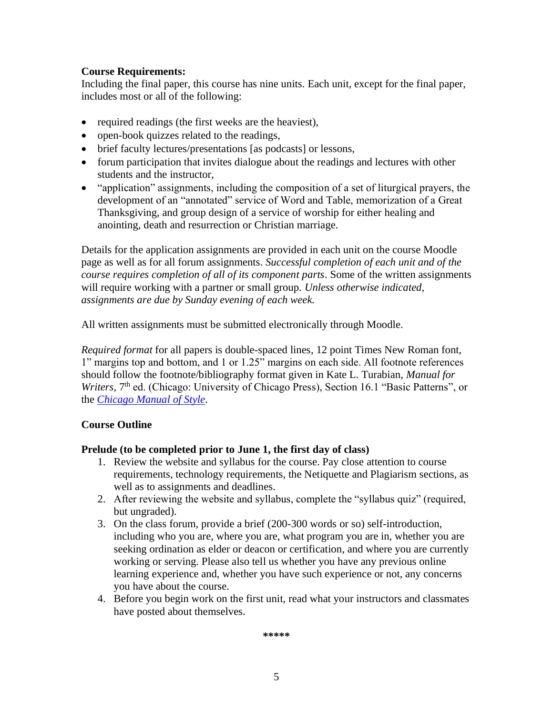# **Course Requirements:**

Including the final paper, this course has nine units. Each unit, except for the final paper, includes most or all of the following:

- required readings (the first weeks are the heaviest),
- open-book quizzes related to the readings,
- brief faculty lectures/presentations [as podcasts] or lessons,
- forum participation that invites dialogue about the readings and lectures with other students and the instructor,
- "application" assignments, including the composition of a set of liturgical prayers, the development of an "annotated" service of Word and Table, memorization of a Great Thanksgiving, and group design of a service of worship for either healing and anointing, death and resurrection or Christian marriage.

Details for the application assignments are provided in each unit on the course Moodle page as well as for all forum assignments. *Successful completion of each unit and of the course requires completion of all of its component parts*. Some of the written assignments will require working with a partner or small group. *Unless otherwise indicated, assignments are due by Sunday evening of each week.*

All written assignments must be submitted electronically through Moodle.

*Required format* for all papers is double-spaced lines, 12 point Times New Roman font, 1" margins top and bottom, and 1 or 1.25" margins on each side. All footnote references should follow the footnote/bibliography format given in Kate L. Turabian, *Manual for*  Writers, 7<sup>th</sup> ed. (Chicago: University of Chicago Press), Section 16.1 "Basic Patterns", or the *[Chicago Manual of Style](http://owl.english.purdue.edu/owl/resource/717/01/)*.

# **Course Outline**

## **Prelude (to be completed prior to June 1, the first day of class)**

- 1. Review the website and syllabus for the course. Pay close attention to course requirements, technology requirements, the Netiquette and Plagiarism sections, as well as to assignments and deadlines.
- 2. After reviewing the website and syllabus, complete the "syllabus quiz" (required, but ungraded).
- 3. On the class forum, provide a brief (200-300 words or so) self-introduction, including who you are, where you are, what program you are in, whether you are seeking ordination as elder or deacon or certification, and where you are currently working or serving. Please also tell us whether you have any previous online learning experience and, whether you have such experience or not, any concerns you have about the course.
- 4. Before you begin work on the first unit, read what your instructors and classmates have posted about themselves.

**\*\*\*\*\***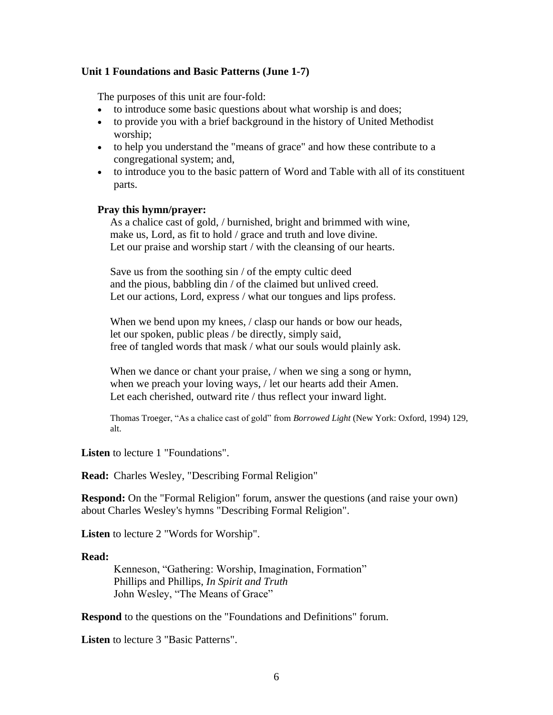#### **Unit 1 Foundations and Basic Patterns (June 1-7)**

The purposes of this unit are four-fold:

- to introduce some basic questions about what worship is and does;
- to provide you with a brief background in the history of United Methodist worship;
- to help you understand the "means of grace" and how these contribute to a congregational system; and,
- to introduce you to the basic pattern of Word and Table with all of its constituent parts.

#### **Pray this hymn/prayer:**

As a chalice cast of gold, / burnished, bright and brimmed with wine, make us, Lord, as fit to hold / grace and truth and love divine. Let our praise and worship start / with the cleansing of our hearts.

Save us from the soothing sin / of the empty cultic deed and the pious, babbling din / of the claimed but unlived creed. Let our actions, Lord, express / what our tongues and lips profess.

When we bend upon my knees, / clasp our hands or bow our heads, let our spoken, public pleas / be directly, simply said, free of tangled words that mask / what our souls would plainly ask.

When we dance or chant your praise, / when we sing a song or hymn, when we preach your loving ways, / let our hearts add their Amen. Let each cherished, outward rite / thus reflect your inward light.

Thomas Troeger, "As a chalice cast of gold" from *Borrowed Light* (New York: Oxford, 1994) 129, alt.

**Listen** to lecture 1 "Foundations".

**Read:** Charles Wesley, "Describing Formal Religion"

**Respond:** On the "Formal Religion" forum, answer the questions (and raise your own) about Charles Wesley's hymns "Describing Formal Religion".

**Listen** to lecture 2 "Words for Worship".

#### **Read:**

Kenneson, "Gathering: Worship, Imagination, Formation" Phillips and Phillips, *In Spirit and Truth* John Wesley, "The Means of Grace"

**Respond** to the questions on the "Foundations and Definitions" forum.

**Listen** to lecture 3 "Basic Patterns".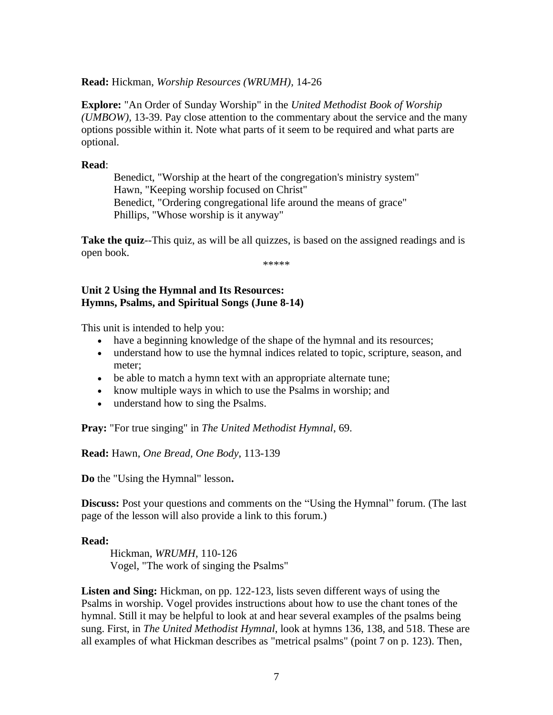**Read:** Hickman, *Worship Resources (WRUMH),* 14-26

**Explore:** "An Order of Sunday Worship" in the *United Methodist Book of Worship (UMBOW),* 13-39. Pay close attention to the commentary about the service and the many options possible within it. Note what parts of it seem to be required and what parts are optional.

## **Read**:

Benedict, "Worship at the heart of the congregation's ministry system" Hawn, "Keeping worship focused on Christ" Benedict, "Ordering congregational life around the means of grace" Phillips, "Whose worship is it anyway"

**Take the quiz--This quiz, as will be all quizzes, is based on the assigned readings and is** open book.

\*\*\*\*\*

## **Unit 2 Using the Hymnal and Its Resources: Hymns, Psalms, and Spiritual Songs (June 8-14)**

This unit is intended to help you:

- have a beginning knowledge of the shape of the hymnal and its resources;
- understand how to use the hymnal indices related to topic, scripture, season, and meter;
- be able to match a hymn text with an appropriate alternate tune;
- know multiple ways in which to use the Psalms in worship; and
- understand how to sing the Psalms.

**Pray:** "For true singing" in *The United Methodist Hymnal*, 69.

**Read:** Hawn, *One Bread, One Body*, 113-139

**Do** the "Using the Hymnal" lesson**.**

**Discuss:** Post your questions and comments on the "Using the Hymnal" forum. (The last page of the lesson will also provide a link to this forum.)

#### **Read:**

Hickman, *WRUMH*, 110-126 Vogel, "The work of singing the Psalms"

**Listen and Sing:** Hickman, on pp. 122-123, lists seven different ways of using the Psalms in worship. Vogel provides instructions about how to use the chant tones of the hymnal. Still it may be helpful to look at and hear several examples of the psalms being sung. First, in *The United Methodist Hymnal*, look at hymns 136, 138, and 518. These are all examples of what Hickman describes as "metrical psalms" (point 7 on p. 123). Then,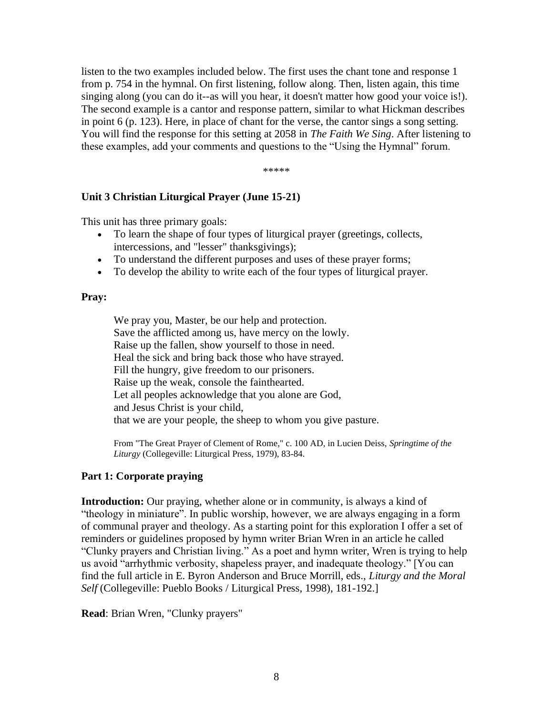listen to the two examples included below. The first uses the chant tone and response 1 from p. 754 in the hymnal. On first listening, follow along. Then, listen again, this time singing along (you can do it--as will you hear, it doesn't matter how good your voice is!). The second example is a cantor and response pattern, similar to what Hickman describes in point 6 (p. 123). Here, in place of chant for the verse, the cantor sings a song setting. You will find the response for this setting at 2058 in *The Faith We Sing*. After listening to these examples, add your comments and questions to the "Using the Hymnal" forum.

\*\*\*\*\*

## **Unit 3 Christian Liturgical Prayer (June 15-21)**

This unit has three primary goals:

- To learn the shape of four types of liturgical prayer (greetings, collects, intercessions, and "lesser" thanksgivings);
- To understand the different purposes and uses of these prayer forms;
- To develop the ability to write each of the four types of liturgical prayer.

#### **Pray:**

We pray you, Master, be our help and protection. Save the afflicted among us, have mercy on the lowly. Raise up the fallen, show yourself to those in need. Heal the sick and bring back those who have strayed. Fill the hungry, give freedom to our prisoners. Raise up the weak, console the fainthearted. Let all peoples acknowledge that you alone are God, and Jesus Christ is your child, that we are your people, the sheep to whom you give pasture.

From "The Great Prayer of Clement of Rome," c. 100 AD, in Lucien Deiss, *Springtime of the Liturgy* (Collegeville: Liturgical Press, 1979), 83-84.

## **Part 1: Corporate praying**

**Introduction:** Our praying, whether alone or in community, is always a kind of "theology in miniature". In public worship, however, we are always engaging in a form of communal prayer and theology. As a starting point for this exploration I offer a set of reminders or guidelines proposed by hymn writer Brian Wren in an article he called "Clunky prayers and Christian living." As a poet and hymn writer, Wren is trying to help us avoid "arrhythmic verbosity, shapeless prayer, and inadequate theology." [You can find the full article in E. Byron Anderson and Bruce Morrill, eds., *Liturgy and the Moral Self* (Collegeville: Pueblo Books / Liturgical Press, 1998), 181-192.]

**Read**: Brian Wren, "Clunky prayers"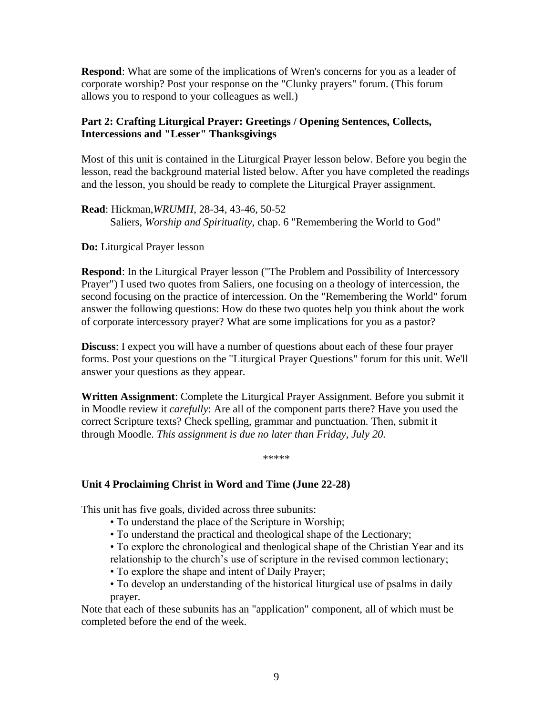**Respond**: What are some of the implications of Wren's concerns for you as a leader of corporate worship? Post your response on the "Clunky prayers" forum. (This forum allows you to respond to your colleagues as well.)

# **Part 2: Crafting Liturgical Prayer: Greetings / Opening Sentences, Collects, Intercessions and "Lesser" Thanksgivings**

Most of this unit is contained in the Liturgical Prayer lesson below. Before you begin the lesson, read the background material listed below. After you have completed the readings and the lesson, you should be ready to complete the Liturgical Prayer assignment.

**Read**: Hickman,*WRUMH*, 28-34, 43-46, 50-52 Saliers, *Worship and Spirituality*, chap. 6 "Remembering the World to God"

**Do:** Liturgical Prayer lesson

**Respond**: In the Liturgical Prayer lesson ("The Problem and Possibility of Intercessory Prayer") I used two quotes from Saliers, one focusing on a theology of intercession, the second focusing on the practice of intercession. On the "Remembering the World" forum answer the following questions: How do these two quotes help you think about the work of corporate intercessory prayer? What are some implications for you as a pastor?

**Discuss**: I expect you will have a number of questions about each of these four prayer forms. Post your questions on the "Liturgical Prayer Questions" forum for this unit. We'll answer your questions as they appear.

**Written Assignment**: Complete the Liturgical Prayer Assignment. Before you submit it in Moodle review it *carefully*: Are all of the component parts there? Have you used the correct Scripture texts? Check spelling, grammar and punctuation. Then, submit it through Moodle. *This assignment is due no later than Friday, July 20.*

\*\*\*\*\*

# **Unit 4 Proclaiming Christ in Word and Time (June 22-28)**

This unit has five goals, divided across three subunits:

- To understand the place of the Scripture in Worship;
- To understand the practical and theological shape of the Lectionary;
- To explore the chronological and theological shape of the Christian Year and its relationship to the church's use of scripture in the revised common lectionary;
- To explore the shape and intent of Daily Prayer;
- To develop an understanding of the historical liturgical use of psalms in daily prayer.

Note that each of these subunits has an "application" component, all of which must be completed before the end of the week.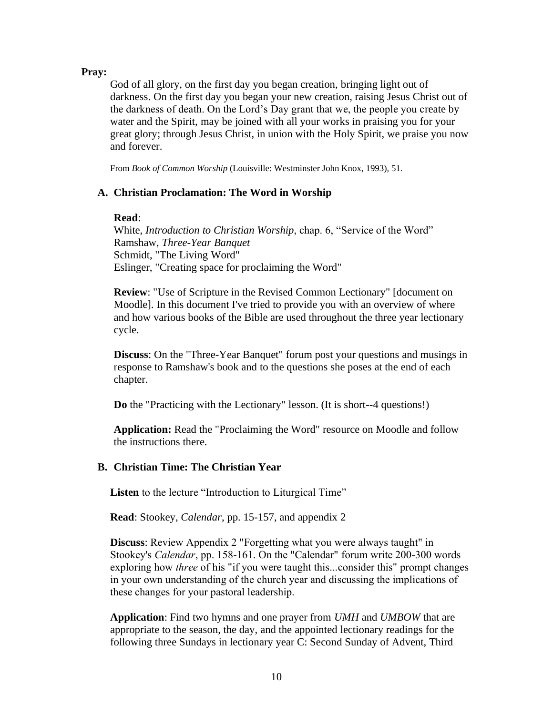#### **Pray:**

God of all glory, on the first day you began creation, bringing light out of darkness. On the first day you began your new creation, raising Jesus Christ out of the darkness of death. On the Lord's Day grant that we, the people you create by water and the Spirit, may be joined with all your works in praising you for your great glory; through Jesus Christ, in union with the Holy Spirit, we praise you now and forever.

From *Book of Common Worship* (Louisville: Westminster John Knox, 1993), 51.

## **A. Christian Proclamation: The Word in Worship**

#### **Read**:

White, *Introduction to Christian Worship*, chap. 6, "Service of the Word" Ramshaw, *Three-Year Banquet* Schmidt, "The Living Word" Eslinger, "Creating space for proclaiming the Word"

**Review**: "Use of Scripture in the Revised Common Lectionary" [document on Moodle]. In this document I've tried to provide you with an overview of where and how various books of the Bible are used throughout the three year lectionary cycle.

**Discuss**: On the "Three-Year Banquet" forum post your questions and musings in response to Ramshaw's book and to the questions she poses at the end of each chapter.

**Do** the "Practicing with the Lectionary" lesson. (It is short--4 questions!)

**Application:** Read the "Proclaiming the Word" resource on Moodle and follow the instructions there.

## **B. Christian Time: The Christian Year**

**Listen** to the lecture "Introduction to Liturgical Time"

**Read**: Stookey, *Calendar*, pp. 15-157, and appendix 2

**Discuss**: Review Appendix 2 "Forgetting what you were always taught" in Stookey's *Calendar*, pp. 158-161. On the "Calendar" forum write 200-300 words exploring how *three* of his "if you were taught this...consider this" prompt changes in your own understanding of the church year and discussing the implications of these changes for your pastoral leadership.

**Application**: Find two hymns and one prayer from *UMH* and *UMBOW* that are appropriate to the season, the day, and the appointed lectionary readings for the following three Sundays in lectionary year C: Second Sunday of Advent, Third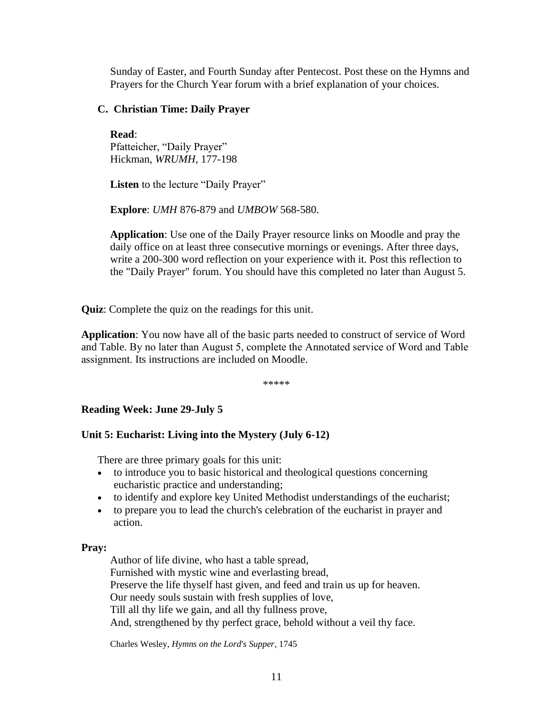Sunday of Easter, and Fourth Sunday after Pentecost. Post these on the Hymns and Prayers for the Church Year forum with a brief explanation of your choices.

## **C. Christian Time: Daily Prayer**

**Read**: Pfatteicher, "Daily Prayer" Hickman, *WRUMH*, 177-198

Listen to the lecture "Daily Prayer"

**Explore**: *UMH* 876-879 and *UMBOW* 568-580.

**Application**: Use one of the Daily Prayer resource links on Moodle and pray the daily office on at least three consecutive mornings or evenings. After three days, write a 200-300 word reflection on your experience with it. Post this reflection to the "Daily Prayer" forum. You should have this completed no later than August 5.

**Quiz**: Complete the quiz on the readings for this unit.

**Application**: You now have all of the basic parts needed to construct of service of Word and Table. By no later than August 5, complete the Annotated service of Word and Table assignment. Its instructions are included on Moodle.

\*\*\*\*\*

# **Reading Week: June 29-July 5**

# **Unit 5: Eucharist: Living into the Mystery (July 6-12)**

There are three primary goals for this unit:

- to introduce you to basic historical and theological questions concerning eucharistic practice and understanding;
- to identify and explore key United Methodist understandings of the eucharist;
- to prepare you to lead the church's celebration of the eucharist in prayer and action.

## **Pray:**

Author of life divine, who hast a table spread, Furnished with mystic wine and everlasting bread, Preserve the life thyself hast given, and feed and train us up for heaven. Our needy souls sustain with fresh supplies of love, Till all thy life we gain, and all thy fullness prove, And, strengthened by thy perfect grace, behold without a veil thy face.

Charles Wesley, *Hymns on the Lord's Supper*, 1745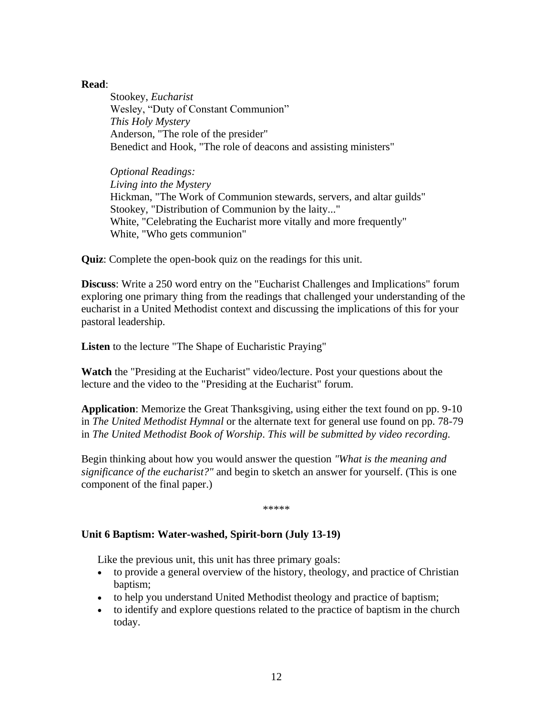## **Read**:

Stookey, *Eucharist* Wesley, "Duty of Constant Communion" *This Holy Mystery* Anderson, "The role of the presider" Benedict and Hook, "The role of deacons and assisting ministers"

*Optional Readings: Living into the Mystery* Hickman, "The Work of Communion stewards, servers, and altar guilds" Stookey, "Distribution of Communion by the laity..." White, "Celebrating the Eucharist more vitally and more frequently" White, "Who gets communion"

**Quiz**: Complete the open-book quiz on the readings for this unit.

**Discuss**: Write a 250 word entry on the "Eucharist Challenges and Implications" forum exploring one primary thing from the readings that challenged your understanding of the eucharist in a United Methodist context and discussing the implications of this for your pastoral leadership.

**Listen** to the lecture "The Shape of Eucharistic Praying"

**Watch** the "Presiding at the Eucharist" video/lecture. Post your questions about the lecture and the video to the "Presiding at the Eucharist" forum.

**Application**: Memorize the Great Thanksgiving, using either the text found on pp. 9-10 in *The United Methodist Hymnal* or the alternate text for general use found on pp. 78-79 in *The United Methodist Book of Worship*. *This will be submitted by video recording.*

Begin thinking about how you would answer the question *"What is the meaning and significance of the eucharist?"* and begin to sketch an answer for yourself. (This is one component of the final paper.)

\*\*\*\*\*

## **Unit 6 Baptism: Water-washed, Spirit-born (July 13-19)**

Like the previous unit, this unit has three primary goals:

- to provide a general overview of the history, theology, and practice of Christian baptism;
- to help you understand United Methodist theology and practice of baptism;
- to identify and explore questions related to the practice of baptism in the church today.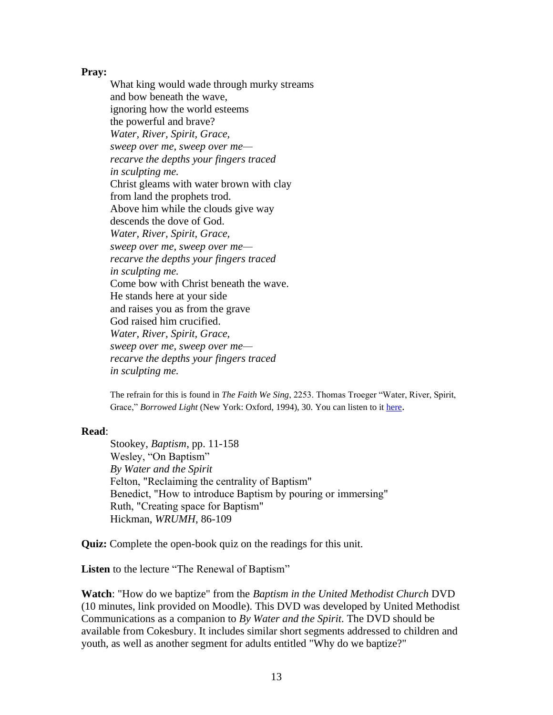#### **Pray:**

What king would wade through murky streams and bow beneath the wave, ignoring how the world esteems the powerful and brave? *Water, River, Spirit, Grace, sweep over me, sweep over me recarve the depths your fingers traced in sculpting me.* Christ gleams with water brown with clay from land the prophets trod. Above him while the clouds give way descends the dove of God. *Water, River, Spirit, Grace, sweep over me, sweep over me recarve the depths your fingers traced in sculpting me.* Come bow with Christ beneath the wave. He stands here at your side and raises you as from the grave God raised him crucified. *Water, River, Spirit, Grace, sweep over me, sweep over me recarve the depths your fingers traced in sculpting me.*

The refrain for this is found in *The Faith We Sing*, 2253. Thomas Troeger "Water, River, Spirit, Grace," *Borrowed Light* (New York: Oxford, 1994), 30. You can listen to it [here](http://riversvoice.com/index.php?page=songs&category=Splash-exclaim-_-oparen-new_2010_edition-cparen-&display=238).

#### **Read**:

Stookey, *Baptism*, pp. 11-158 Wesley, "On Baptism" *By Water and the Spirit* Felton, "Reclaiming the centrality of Baptism" Benedict, "How to introduce Baptism by pouring or immersing" Ruth, "Creating space for Baptism" Hickman, *WRUMH*, 86-109

**Quiz:** Complete the open-book quiz on the readings for this unit.

Listen to the lecture "The Renewal of Baptism"

**Watch**: "How do we baptize" from the *Baptism in the United Methodist Church* DVD (10 minutes, link provided on Moodle). This DVD was developed by United Methodist Communications as a companion to *By Water and the Spirit*. The DVD should be available from Cokesbury. It includes similar short segments addressed to children and youth, as well as another segment for adults entitled "Why do we baptize?"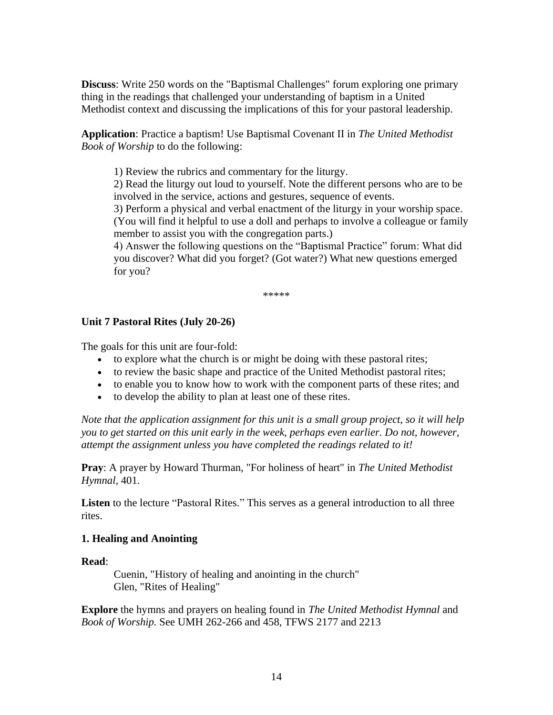**Discuss**: Write 250 words on the "Baptismal Challenges" forum exploring one primary thing in the readings that challenged your understanding of baptism in a United Methodist context and discussing the implications of this for your pastoral leadership.

**Application**: Practice a baptism! Use Baptismal Covenant II in *The United Methodist Book of Worship* to do the following:

1) Review the rubrics and commentary for the liturgy.

2) Read the liturgy out loud to yourself. Note the different persons who are to be involved in the service, actions and gestures, sequence of events.

3) Perform a physical and verbal enactment of the liturgy in your worship space. (You will find it helpful to use a doll and perhaps to involve a colleague or family member to assist you with the congregation parts.)

4) Answer the following questions on the "Baptismal Practice" forum: What did you discover? What did you forget? (Got water?) What new questions emerged for you?

\*\*\*\*\*

## **Unit 7 Pastoral Rites (July 20-26)**

The goals for this unit are four-fold:

- to explore what the church is or might be doing with these pastoral rites;
- to review the basic shape and practice of the United Methodist pastoral rites;
- to enable you to know how to work with the component parts of these rites; and
- to develop the ability to plan at least one of these rites.

*Note that the application assignment for this unit is a small group project, so it will help you to get started on this unit early in the week, perhaps even earlier. Do not, however, attempt the assignment unless you have completed the readings related to it!* 

**Pray**: A prayer by Howard Thurman, "For holiness of heart" in *The United Methodist Hymnal*, 401.

**Listen** to the lecture "Pastoral Rites." This serves as a general introduction to all three rites.

## **1. Healing and Anointing**

## **Read**:

Cuenin, "History of healing and anointing in the church" Glen, "Rites of Healing"

**Explore** the hymns and prayers on healing found in *The United Methodist Hymnal* and *Book of Worship.* See UMH 262-266 and 458, TFWS 2177 and 2213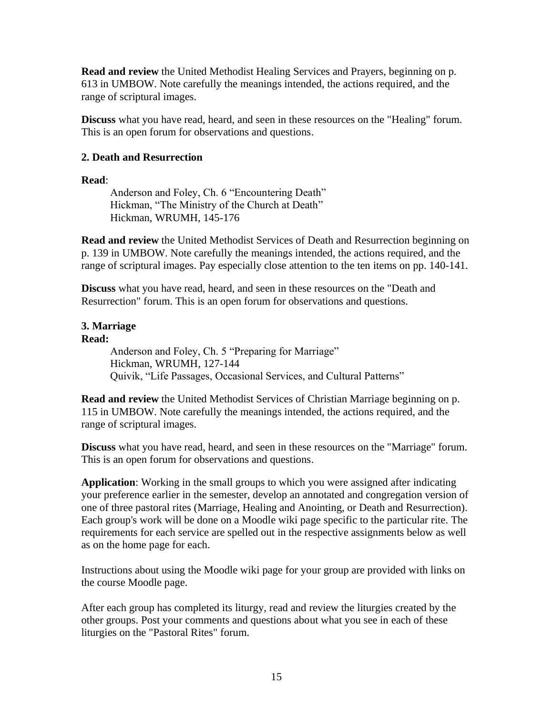**Read and review** the United Methodist Healing Services and Prayers, beginning on p. 613 in UMBOW. Note carefully the meanings intended, the actions required, and the range of scriptural images.

**Discuss** what you have read, heard, and seen in these resources on the "Healing" forum. This is an open forum for observations and questions.

## **2. Death and Resurrection**

## **Read**:

Anderson and Foley, Ch. 6 "Encountering Death" Hickman, "The Ministry of the Church at Death" Hickman, WRUMH, 145-176

**Read and review** the United Methodist Services of Death and Resurrection beginning on p. 139 in UMBOW. Note carefully the meanings intended, the actions required, and the range of scriptural images. Pay especially close attention to the ten items on pp. 140-141.

**Discuss** what you have read, heard, and seen in these resources on the "Death and Resurrection" forum. This is an open forum for observations and questions.

# **3. Marriage**

## **Read:**

Anderson and Foley, Ch. 5 "Preparing for Marriage" Hickman, WRUMH, 127-144 Quivik, "Life Passages, Occasional Services, and Cultural Patterns"

**Read and review** the United Methodist Services of Christian Marriage beginning on p. 115 in UMBOW. Note carefully the meanings intended, the actions required, and the range of scriptural images.

**Discuss** what you have read, heard, and seen in these resources on the "Marriage" forum. This is an open forum for observations and questions.

**Application**: Working in the small groups to which you were assigned after indicating your preference earlier in the semester, develop an annotated and congregation version of one of three pastoral rites (Marriage, Healing and Anointing, or Death and Resurrection). Each group's work will be done on a Moodle wiki page specific to the particular rite. The requirements for each service are spelled out in the respective assignments below as well as on the home page for each.

Instructions about using the Moodle wiki page for your group are provided with links on the course Moodle page.

After each group has completed its liturgy, read and review the liturgies created by the other groups. Post your comments and questions about what you see in each of these liturgies on the "Pastoral Rites" forum.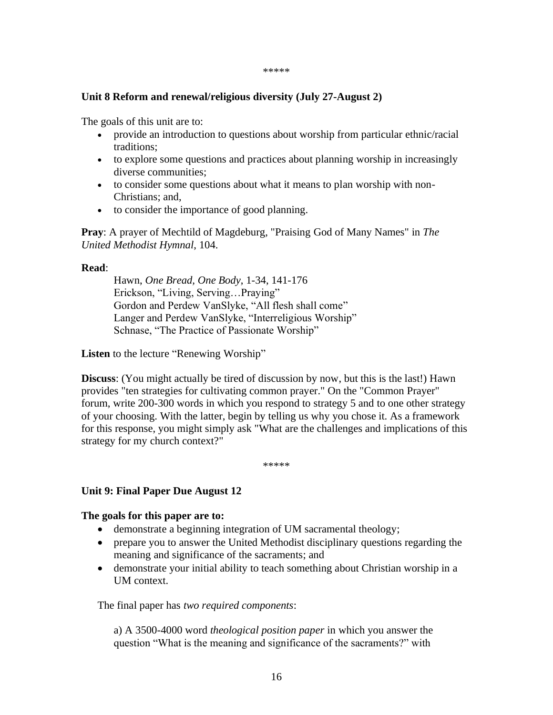#### \*\*\*\*\*

## **Unit 8 Reform and renewal/religious diversity (July 27-August 2)**

The goals of this unit are to:

- provide an introduction to questions about worship from particular ethnic/racial traditions;
- to explore some questions and practices about planning worship in increasingly diverse communities;
- to consider some questions about what it means to plan worship with non-Christians; and,
- to consider the importance of good planning.

**Pray**: A prayer of Mechtild of Magdeburg, "Praising God of Many Names" in *The United Methodist Hymnal*, 104.

## **Read**:

Hawn, *One Bread, One Body*, 1-34, 141-176 Erickson, "Living, Serving…Praying" Gordon and Perdew VanSlyke, "All flesh shall come" Langer and Perdew VanSlyke, "Interreligious Worship" Schnase, "The Practice of Passionate Worship"

**Listen** to the lecture "Renewing Worship"

**Discuss**: (You might actually be tired of discussion by now, but this is the last!) Hawn provides "ten strategies for cultivating common prayer." On the "Common Prayer" forum, write 200-300 words in which you respond to strategy 5 and to one other strategy of your choosing. With the latter, begin by telling us why you chose it. As a framework for this response, you might simply ask "What are the challenges and implications of this strategy for my church context?"

\*\*\*\*\*

# **Unit 9: Final Paper Due August 12**

## **The goals for this paper are to:**

- demonstrate a beginning integration of UM sacramental theology;
- prepare you to answer the United Methodist disciplinary questions regarding the meaning and significance of the sacraments; and
- demonstrate your initial ability to teach something about Christian worship in a UM context.

The final paper has *two required components*:

a) A 3500-4000 word *theological position paper* in which you answer the question "What is the meaning and significance of the sacraments?" with